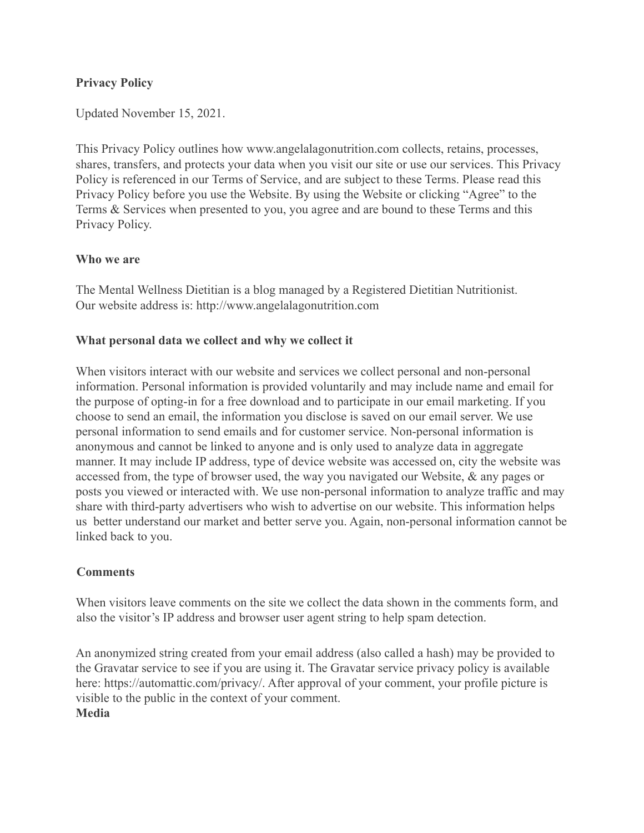## **Privacy Policy**

Updated November 15, 2021.

This Privacy Policy outlines how www.angelalagonutrition.com collects, retains, processes, shares, transfers, and protects your data when you visit our site or use our services. This Privacy Policy is referenced in our Terms of Service, and are subject to these Terms. Please read this Privacy Policy before you use the Website. By using the Website or clicking "Agree" to the Terms & Services when presented to you, you agree and are bound to these Terms and this Privacy Policy.

### **Who we are**

The Mental Wellness Dietitian is a blog managed by a Registered Dietitian Nutritionist. Our website address is: http://www.angelalagonutrition.com

## **What personal data we collect and why we collect it**

When visitors interact with our website and services we collect personal and non-personal information. Personal information is provided voluntarily and may include name and email for the purpose of opting-in for a free download and to participate in our email marketing. If you choose to send an email, the information you disclose is saved on our email server. We use personal information to send emails and for customer service. Non-personal information is anonymous and cannot be linked to anyone and is only used to analyze data in aggregate manner. It may include IP address, type of device website was accessed on, city the website was accessed from, the type of browser used, the way you navigated our Website, & any pages or posts you viewed or interacted with. We use non-personal information to analyze traffic and may share with third-party advertisers who wish to advertise on our website. This information helps us better understand our market and better serve you. Again, non-personal information cannot be linked back to you.

### **Comments**

When visitors leave comments on the site we collect the data shown in the comments form, and also the visitor's IP address and browser user agent string to help spam detection.

An anonymized string created from your email address (also called a hash) may be provided to the Gravatar service to see if you are using it. The Gravatar service privacy policy is available here: https://automattic.com/privacy/. After approval of your comment, your profile picture is visible to the public in the context of your comment. **Media**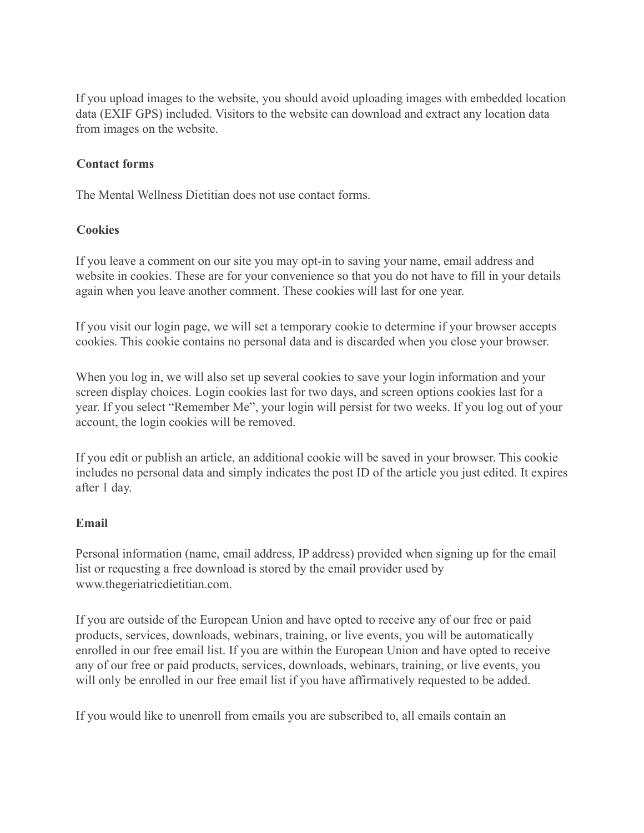If you upload images to the website, you should avoid uploading images with embedded location data (EXIF GPS) included. Visitors to the website can download and extract any location data from images on the website.

#### **Contact forms**

The Mental Wellness Dietitian does not use contact forms.

#### **Cookies**

If you leave a comment on our site you may opt-in to saving your name, email address and website in cookies. These are for your convenience so that you do not have to fill in your details again when you leave another comment. These cookies will last for one year.

If you visit our login page, we will set a temporary cookie to determine if your browser accepts cookies. This cookie contains no personal data and is discarded when you close your browser.

When you log in, we will also set up several cookies to save your login information and your screen display choices. Login cookies last for two days, and screen options cookies last for a year. If you select "Remember Me", your login will persist for two weeks. If you log out of your account, the login cookies will be removed.

If you edit or publish an article, an additional cookie will be saved in your browser. This cookie includes no personal data and simply indicates the post ID of the article you just edited. It expires after 1 day.

### **Email**

Personal information (name, email address, IP address) provided when signing up for the email list or requesting a free download is stored by the email provider used by www.thegeriatricdietitian.com.

If you are outside of the European Union and have opted to receive any of our free or paid products, services, downloads, webinars, training, or live events, you will be automatically enrolled in our free email list. If you are within the European Union and have opted to receive any of our free or paid products, services, downloads, webinars, training, or live events, you will only be enrolled in our free email list if you have affirmatively requested to be added.

If you would like to unenroll from emails you are subscribed to, all emails contain an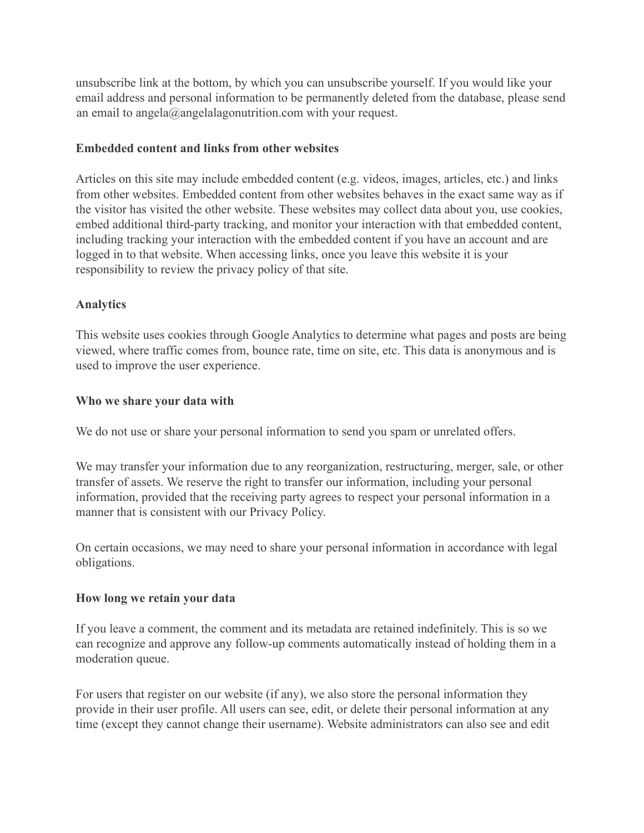unsubscribe link at the bottom, by which you can unsubscribe yourself. If you would like your email address and personal information to be permanently deleted from the database, please send an email to angela@angelalagonutrition.com with your request.

#### **Embedded content and links from other websites**

Articles on this site may include embedded content (e.g. videos, images, articles, etc.) and links from other websites. Embedded content from other websites behaves in the exact same way as if the visitor has visited the other website. These websites may collect data about you, use cookies, embed additional third-party tracking, and monitor your interaction with that embedded content, including tracking your interaction with the embedded content if you have an account and are logged in to that website. When accessing links, once you leave this website it is your responsibility to review the privacy policy of that site.

### **Analytics**

This website uses cookies through Google Analytics to determine what pages and posts are being viewed, where traffic comes from, bounce rate, time on site, etc. This data is anonymous and is used to improve the user experience.

### **Who we share your data with**

We do not use or share your personal information to send you spam or unrelated offers.

We may transfer your information due to any reorganization, restructuring, merger, sale, or other transfer of assets. We reserve the right to transfer our information, including your personal information, provided that the receiving party agrees to respect your personal information in a manner that is consistent with our Privacy Policy.

On certain occasions, we may need to share your personal information in accordance with legal obligations.

### **How long we retain your data**

If you leave a comment, the comment and its metadata are retained indefinitely. This is so we can recognize and approve any follow-up comments automatically instead of holding them in a moderation queue.

For users that register on our website (if any), we also store the personal information they provide in their user profile. All users can see, edit, or delete their personal information at any time (except they cannot change their username). Website administrators can also see and edit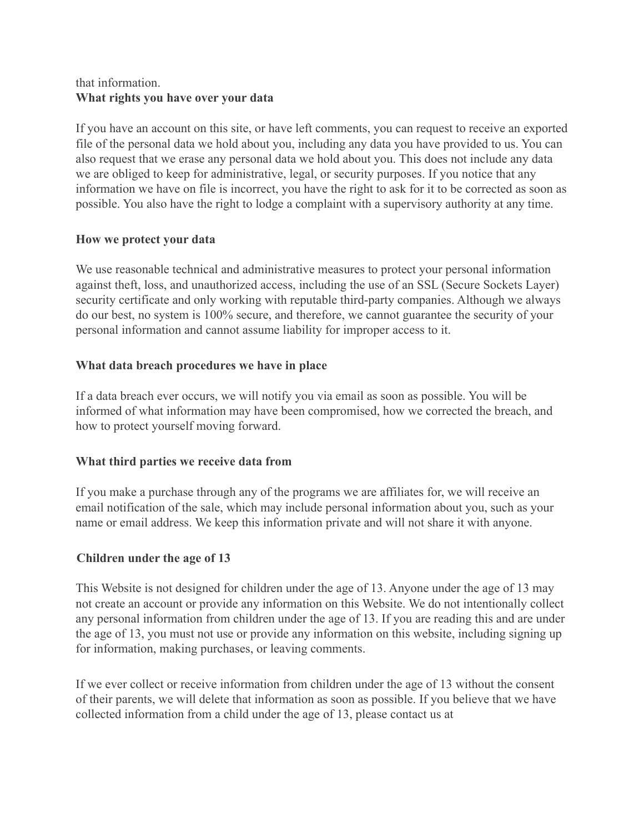## that information. **What rights you have over your data**

If you have an account on this site, or have left comments, you can request to receive an exported file of the personal data we hold about you, including any data you have provided to us. You can also request that we erase any personal data we hold about you. This does not include any data we are obliged to keep for administrative, legal, or security purposes. If you notice that any information we have on file is incorrect, you have the right to ask for it to be corrected as soon as possible. You also have the right to lodge a complaint with a supervisory authority at any time.

## **How we protect your data**

We use reasonable technical and administrative measures to protect your personal information against theft, loss, and unauthorized access, including the use of an SSL (Secure Sockets Layer) security certificate and only working with reputable third-party companies. Although we always do our best, no system is 100% secure, and therefore, we cannot guarantee the security of your personal information and cannot assume liability for improper access to it.

## **What data breach procedures we have in place**

If a data breach ever occurs, we will notify you via email as soon as possible. You will be informed of what information may have been compromised, how we corrected the breach, and how to protect yourself moving forward.

# **What third parties we receive data from**

If you make a purchase through any of the programs we are affiliates for, we will receive an email notification of the sale, which may include personal information about you, such as your name or email address. We keep this information private and will not share it with anyone.

# **Children under the age of 13**

This Website is not designed for children under the age of 13. Anyone under the age of 13 may not create an account or provide any information on this Website. We do not intentionally collect any personal information from children under the age of 13. If you are reading this and are under the age of 13, you must not use or provide any information on this website, including signing up for information, making purchases, or leaving comments.

If we ever collect or receive information from children under the age of 13 without the consent of their parents, we will delete that information as soon as possible. If you believe that we have collected information from a child under the age of 13, please contact us at